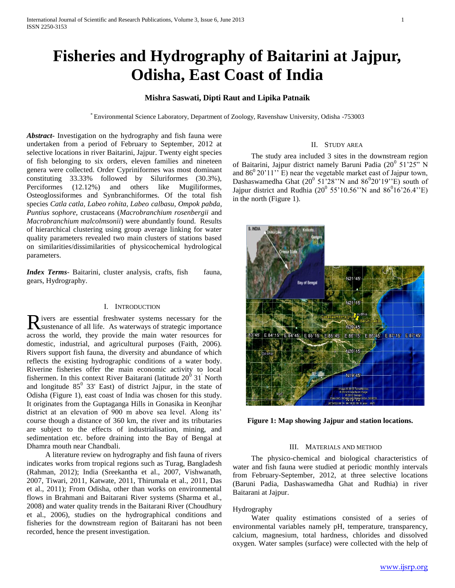# **Fisheries and Hydrography of Baitarini at Jajpur, Odisha, East Coast of India**

## **Mishra Saswati, Dipti Raut and Lipika Patnaik**

\* Environmental Science Laboratory, Department of Zoology, Ravenshaw University, Odisha -753003

*Abstract***-** Investigation on the hydrography and fish fauna were undertaken from a period of February to September, 2012 at selective locations in river Baitarini, Jajpur. Twenty eight species of fish belonging to six orders, eleven families and nineteen genera were collected. Order Cypriniformes was most dominant constituting 33.33% followed by Siluriformes (30.3%), Perciformes (12.12%) and others like Mugiliformes, Osteoglossiformes and Synbranchiformes. Of the total fish species *Catla catla, Labeo rohita, Labeo calbasu, Ompok pabda, Puntius sophore,* crustaceans (*Macrobranchium rosenbergii* and *Macrobranchium malcolmsonii*) were abundantly found. Results of hierarchical clustering using group average linking for water quality parameters revealed two main clusters of stations based on similarities/dissimilarities of physicochemical hydrological parameters.

*Index Terms*- Baitarini, cluster analysis, crafts, fish fauna, gears, Hydrography.

### I. INTRODUCTION

ivers are essential freshwater systems necessary for the Rivers are essential freshwater systems necessary for the sustenance of all life. As waterways of strategic importance across the world, they provide the main water resources for domestic, industrial, and agricultural purposes (Faith, 2006). Rivers support fish fauna, the diversity and abundance of which reflects the existing hydrographic conditions of a water body. Riverine fisheries offer the main economic activity to local fishermen. In this context River Baitarani (latitude  $20^{\degree}$  31<sup>'</sup> North and longitude  $85^{\circ}$  33' East) of district Jajpur, in the state of Odisha (Figure 1), east coast of India was chosen for this study. It originates from the Guptaganga Hills in Gonasika in Keonjhar district at an elevation of 900 m above sea level. Along its' course though a distance of 360 km, the river and its tributaries are subject to the effects of industrialisation, mining, and sedimentation etc. before draining into the Bay of Bengal at Dhamra mouth near Chandbali.

 A literature review on hydrography and fish fauna of rivers indicates works from tropical regions such as Turag, Bangladesh (Rahman, 2012); India (Sreekantha et al., 2007, Vishwanath, 2007, Tiwari, 2011, Katwate, 2011, Thirumala et al., 2011, Das et al., 2011); From Odisha, other than works on environmental flows in Brahmani and Baitarani River systems (Sharma et al., 2008) and water quality trends in the Baitarani River (Choudhury et al., 2006), studies on the hydrographical conditions and fisheries for the downstream region of Baitarani has not been recorded, hence the present investigation.

### II. STUDY AREA

 The study area included 3 sites in the downstream region of Baitarini, Jajpur district namely Baruni Padia (20<sup>0</sup> 51'25" N and  $86^{\circ}20'11''$  E) near the vegetable market east of Jajpur town, Dashaswamedha Ghat  $(20^0 51'28'')$ N and  $86^020'19''$ E) south of Jajpur district and Rudhia (20<sup>0</sup> 55'10.56''N and 86<sup>0</sup>16'26.4"E) in the north (Figure 1).



**Figure 1: Map showing Jajpur and station locations.**

### III. MATERIALS AND METHOD

 The physico-chemical and biological characteristics of water and fish fauna were studied at periodic monthly intervals from February-September, 2012, at three selective locations (Baruni Padia, Dashaswamedha Ghat and Rudhia) in river Baitarani at Jajpur.

### Hydrography

 Water quality estimations consisted of a series of environmental variables namely pH, temperature, transparency, calcium, magnesium, total hardness, chlorides and dissolved oxygen. Water samples (surface) were collected with the help of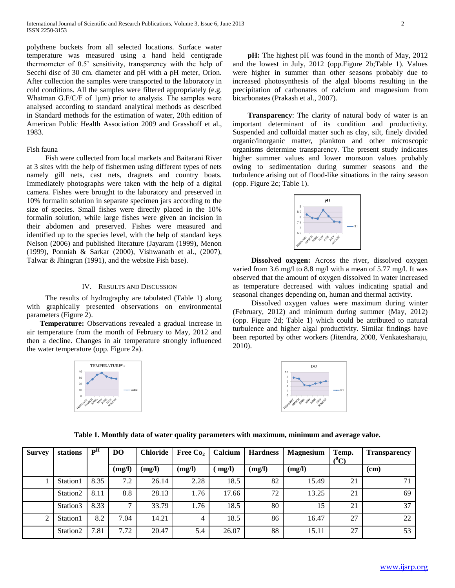polythene buckets from all selected locations. Surface water temperature was measured using a hand held centigrade thermometer of 0.5˚ sensitivity, transparency with the help of Secchi disc of 30 cm. diameter and pH with a pH meter, Orion. After collection the samples were transported to the laboratory in cold conditions. All the samples were filtered appropriately (e.g. Whatman G.F/C/F of 1μm) prior to analysis. The samples were analysed according to standard analytical methods as described in Standard methods for the estimation of water, 20th edition of American Public Health Association 2009 and Grasshoff et al., 1983.

### Fish fauna

 Fish were collected from local markets and Baitarani River at 3 sites with the help of fishermen using different types of nets namely gill nets, cast nets, dragnets and country boats. Immediately photographs were taken with the help of a digital camera. Fishes were brought to the laboratory and preserved in 10% formalin solution in separate specimen jars according to the size of species. Small fishes were directly placed in the 10% formalin solution, while large fishes were given an incision in their abdomen and preserved. Fishes were measured and identified up to the species level, with the help of standard keys Nelson (2006) and published literature (Jayaram (1999), Menon (1999), Ponniah & Sarkar (2000), Vishwanath et al., (2007), Talwar & Jhingran (1991), and the website Fish base).

### IV. RESULTS AND DISCUSSION

 The results of hydrography are tabulated (Table 1) along with graphically presented observations on environmental parameters (Figure 2).

 **Temperature:** Observations revealed a gradual increase in air temperature from the month of February to May, 2012 and then a decline. Changes in air temperature strongly influenced the water temperature (opp. Figure 2a).



 **pH:** The highest pH was found in the month of May, 2012 and the lowest in July, 2012 (opp.Figure 2b;Table 1). Values were higher in summer than other seasons probably due to increased photosynthesis of the algal blooms resulting in the precipitation of carbonates of calcium and magnesium from bicarbonates (Prakash et al., 2007).

 **Transparency**: The clarity of natural body of water is an important determinant of its condition and productivity. Suspended and colloidal matter such as clay, silt, finely divided organic/inorganic matter, plankton and other microscopic organisms determine transparency. The present study indicates higher summer values and lower monsoon values probably owing to sedimentation during summer seasons and the turbulence arising out of flood-like situations in the rainy season (opp. Figure 2c; Table 1).



**Dissolved oxygen:** Across the river, dissolved oxygen varied from 3.6 mg/l to 8.8 mg/l with a mean of 5.77 mg/l. It was observed that the amount of oxygen dissolved in water increased as temperature decreased with values indicating spatial and seasonal changes depending on, human and thermal activity.

 Dissolved oxygen values were maximum during winter (February, 2012) and minimum during summer (May, 2012) (opp. Figure 2d; Table 1) which could be attributed to natural turbulence and higher algal productivity. Similar findings have been reported by other workers (Jitendra, 2008, Venkatesharaju, 2010).



|  |  | Table 1. Monthly data of water quality parameters with maximum, minimum and average value. |
|--|--|--------------------------------------------------------------------------------------------|
|  |  |                                                                                            |

| <b>Survey</b>  | stations             | P <sup>H</sup> | D <sub>O</sub> | <b>Chloride</b> | Free Co <sub>2</sub> | Calcium | <b>Hardness</b> | <b>Magnesium</b> | Temp.<br>$(^0\mathrm{C})$ | <b>Transparency</b> |  |
|----------------|----------------------|----------------|----------------|-----------------|----------------------|---------|-----------------|------------------|---------------------------|---------------------|--|
|                |                      |                | (mg/l)         | (mg/l)          | (mg/l)               | mg/l)   | (mg/l)          | (mg/l)           |                           | (cm)                |  |
|                | Station1             | 8.35           | 7.2            | 26.14           | 2.28                 | 18.5    | 82              | 15.49            | 21                        | 71                  |  |
|                | Station <sub>2</sub> | 8.11           | 8.8            | 28.13           | 1.76                 | 17.66   | 72              | 13.25            | 21                        | 69                  |  |
|                | Station3             | 8.33           | $\mathbf{r}$   | 33.79           | 1.76                 | 18.5    | 80              | 15               | 21                        | 37                  |  |
| $\overline{2}$ | Station1             | 8.2            | 0.04<br>⇁      | 14.21           | 4                    | 18.5    | 86              | 16.47            | 27                        | 22                  |  |
|                | Station <sub>2</sub> | 7.81           | 7.72           | 20.47           | 5.4                  | 26.07   | 88              | 15.11            | 27                        | 53                  |  |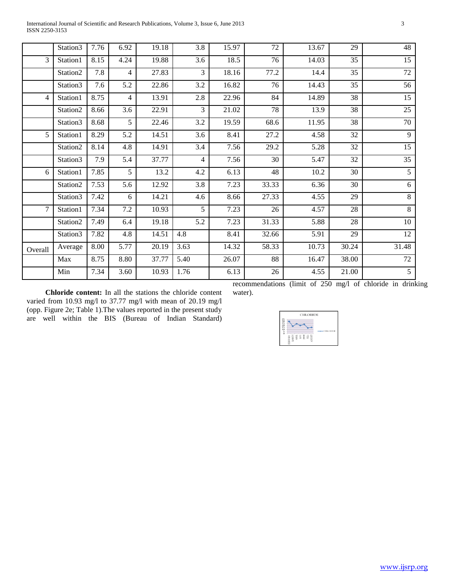|         | Station3 | 7.76 | 6.92           | 19.18 | 3.8              | 15.97 | 72                                  | 13.67             | 29    | 48                                                                                 |
|---------|----------|------|----------------|-------|------------------|-------|-------------------------------------|-------------------|-------|------------------------------------------------------------------------------------|
| 3       | Station1 | 8.15 | 4.24           | 19.88 | 3.6              | 18.5  | 76                                  | 14.03             | 35    | 15                                                                                 |
|         | Station2 | 7.8  | $\overline{4}$ | 27.83 | $\overline{3}$   | 18.16 | 77.2                                | 14.4              | 35    | 72                                                                                 |
|         | Station3 | 7.6  | 5.2            | 22.86 | $\overline{3.2}$ | 16.82 | 76                                  | 14.43             | 35    | $\overline{56}$                                                                    |
| 4       | Station1 | 8.75 | $\overline{4}$ | 13.91 | 2.8              | 22.96 | 84                                  | 14.89             | 38    | 15                                                                                 |
|         | Station2 | 8.66 | 3.6            | 22.91 | $\overline{3}$   | 21.02 | 78                                  | 13.9              | 38    | 25                                                                                 |
|         | Station3 | 8.68 | 5              | 22.46 | 3.2              | 19.59 | 68.6                                | 11.95             | 38    | 70                                                                                 |
| 5       | Station1 | 8.29 | 5.2            | 14.51 | 3.6              | 8.41  | 27.2                                | 4.58              | 32    | 9                                                                                  |
|         | Station2 | 8.14 | 4.8            | 14.91 | 3.4              | 7.56  | 29.2                                | 5.28              | 32    | 15                                                                                 |
|         | Station3 | 7.9  | 5.4            | 37.77 | $\overline{4}$   | 7.56  | 30                                  | 5.47              | 32    | 35                                                                                 |
| 6       | Station1 | 7.85 | 5              | 13.2  | 4.2              | 6.13  | 48                                  | 10.2              | 30    | 5                                                                                  |
|         | Station2 | 7.53 | 5.6            | 12.92 | 3.8              | 7.23  | 33.33                               | 6.36              | 30    | 6                                                                                  |
|         | Station3 | 7.42 | 6              | 14.21 | 4.6              | 8.66  | 27.33                               | 4.55              | 29    | $\overline{8}$                                                                     |
| 7       | Station1 | 7.34 | $7.2\,$        | 10.93 | 5                | 7.23  | 26                                  | 4.57              | 28    | 8                                                                                  |
|         | Station2 | 7.49 | 6.4            | 19.18 | 5.2              | 7.23  | 31.33                               | 5.88              | 28    | 10                                                                                 |
|         | Station3 | 7.82 | 4.8            | 14.51 | 4.8              | 8.41  | 32.66                               | $\overline{5.91}$ | 29    | $\overline{12}$                                                                    |
| Overall | Average  | 8.00 | 5.77           | 20.19 | 3.63             | 14.32 | 58.33                               | 10.73             | 30.24 | 31.48                                                                              |
|         | Max      | 8.75 | 8.80           | 37.77 | 5.40             | 26.07 | 88                                  | 16.47             | 38.00 | $72\,$                                                                             |
|         | Min      | 7.34 | 3.60           | 10.93 | 1.76             | 6.13  | 26<br>$\mathbf{a}$ and $\mathbf{a}$ | 4.55<br>0.25      | 21.00 | $\overline{5}$<br>$\mathbf{a}$ $\mathbf{c}$ $\mathbf{a}$ $\mathbf{a}$ $\mathbf{a}$ |

 **Chloride content:** In all the stations the chloride content varied from 10.93 mg/l to 37.77 mg/l with mean of 20.19 mg/l (opp. Figure 2e; Table 1).The values reported in the present study are well within the BIS (Bureau of Indian Standard) recommendations (limit of 250 mg/l of chloride in drinking water).

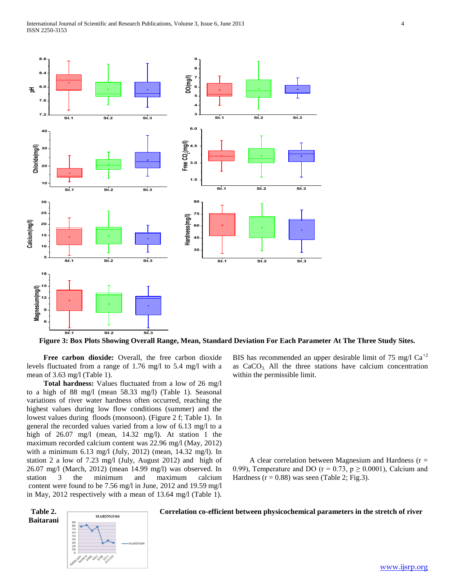

**Figure 3: Box Plots Showing Overall Range, Mean, Standard Deviation For Each Parameter At The Three Study Sites.**

 **Free carbon dioxide:** Overall, the free carbon dioxide levels fluctuated from a range of 1.76 mg/l to 5.4 mg/l with a mean of 3.63 mg/l (Table 1).

 **Total hardness:** Values fluctuated from a low of 26 mg/l to a high of 88 mg/l (mean 58.33 mg/l) (Table 1). Seasonal variations of river water hardness often occurred, reaching the highest values during low flow conditions (summer) and the lowest values during floods (monsoon). (Figure 2 f; Table 1). In general the recorded values varied from a low of 6.13 mg/l to a high of 26.07 mg/l (mean, 14.32 mg/l). At station 1 the maximum recorded calcium content was 22.96 mg/l (May, 2012) with a minimum 6.13 mg/l (July, 2012) (mean, 14.32 mg/l). In station 2 a low of 7.23 mg/l (July, August 2012) and high of 26.07 mg/l (March, 2012) (mean 14.99 mg/l) was observed. In station 3 the minimum and maximum calcium content were found to be 7.56 mg/l in June, 2012 and 19.59 mg/l in May, 2012 respectively with a mean of 13.64 mg/l (Table 1).

**Baitarani**



BIS has recommended an upper desirable limit of 75 mg/l  $Ca^{+2}$ as  $CaCO<sub>3</sub>$ . All the three stations have calcium concentration within the permissible limit.

A clear correlation between Magnesium and Hardness ( $r =$ 0.99), Temperature and DO ( $r = 0.73$ ,  $p \ge 0.0001$ ), Calcium and Hardness ( $r = 0.88$ ) was seen (Table 2; Fig.3).

# Table 2. **Correlation co-efficient between physicochemical parameters in the stretch of river**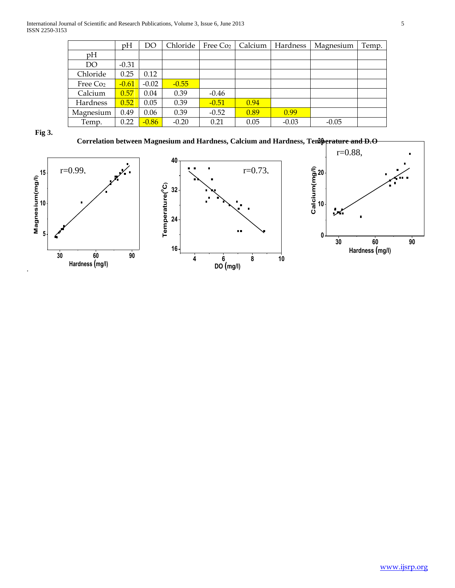|                      | pH      | DO      | Chloride | Free Co <sub>2</sub> | Calcium | Hardness | Magnesium | Temp. |
|----------------------|---------|---------|----------|----------------------|---------|----------|-----------|-------|
| pH                   |         |         |          |                      |         |          |           |       |
| DO                   | $-0.31$ |         |          |                      |         |          |           |       |
| Chloride             | 0.25    | 0.12    |          |                      |         |          |           |       |
| Free Co <sub>2</sub> | $-0.61$ | $-0.02$ | $-0.55$  |                      |         |          |           |       |
| Calcium              | 0.57    | 0.04    | 0.39     | $-0.46$              |         |          |           |       |
| Hardness             | 0.52    | 0.05    | 0.39     | $-0.51$              | 0.94    |          |           |       |
| Magnesium            | 0.49    | 0.06    | 0.39     | $-0.52$              | 0.89    | 0.99     |           |       |
| Temp.                | 0.22    | $-0.86$ | $-0.20$  | 0.21                 | 0.05    | $-0.03$  | $-0.05$   |       |

**Fig 3.** 

**Correlation between Magnesium and Hardness, Calcium and Hardness, Temperature and D.O 30**



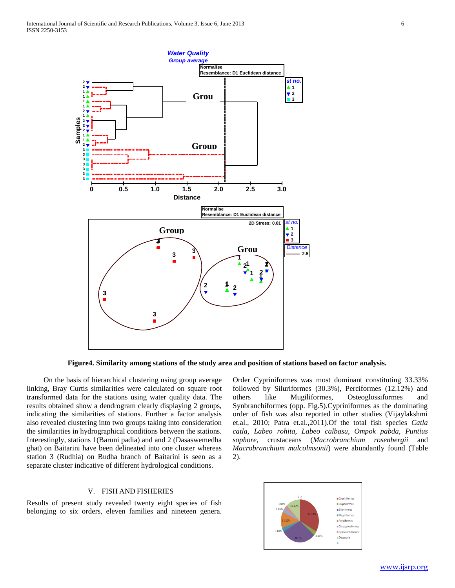

**Figure4. Similarity among stations of the study area and position of stations based on factor analysis.**

 On the basis of hierarchical clustering using group average linking, Bray Curtis similarities were calculated on square root transformed data for the stations using water quality data. The results obtained show a dendrogram clearly displaying 2 groups, indicating the similarities of stations. Further a factor analysis also revealed clustering into two groups taking into consideration the similarities in hydrographical conditions between the stations. Interestingly, stations 1(Baruni padia) and and 2 (Dasaswemedha ghat) on Baitarini have been delineated into one cluster whereas station 3 (Rudhia) on Budha branch of Baitarini is seen as a separate cluster indicative of different hydrological conditions.

### V. FISH AND FISHERIES

Results of present study revealed twenty eight species of fish belonging to six orders, eleven families and nineteen genera. Order Cypriniformes was most dominant constituting 33.33% followed by Siluriformes (30.3%), Perciformes (12.12%) and others like Mugiliformes, Osteoglossiformes and Synbranchiformes (opp. Fig.5).Cypriniformes as the dominating order of fish was also reported in other studies (Vijaylakshmi et.al., 2010; Patra et.al.,2011).Of the total fish species *Catla catla, Labeo rohita, Labeo calbasu, Ompok pabda, Puntius sophore,* crustaceans (*Macrobranchium rosenbergii* and *Macrobranchium malcolmsonii*) were abundantly found (Table 2).

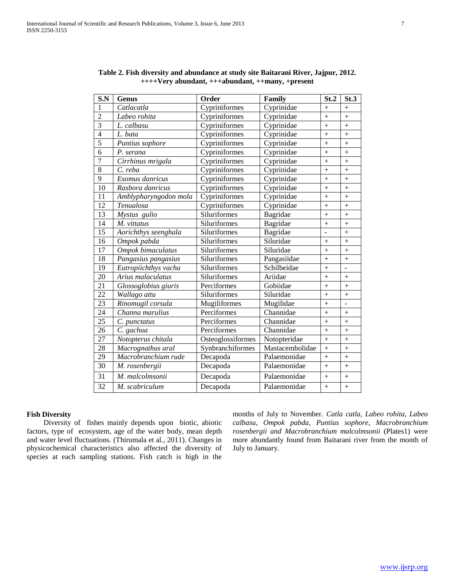| S.N            | <b>Genus</b>          | Order             | Family          | St.2       | St.3      |
|----------------|-----------------------|-------------------|-----------------|------------|-----------|
| 1              | Catlacatla            | Cypriniformes     | Cyprinidae      | $+$        | $^{+}$    |
| $\overline{2}$ | Labeo rohita          | Cypriniformes     | Cyprinidae      | $+$        | $+$       |
| 3              | L. calbasu            | Cypriniformes     | Cyprinidae      | $+$        | $+$       |
| $\overline{4}$ | L. bata               | Cypriniformes     | Cyprinidae      | $+$        | $+$       |
| $\overline{5}$ | Puntius sophore       | Cypriniformes     | Cyprinidae      | $+$        | $+$       |
| 6              | P. serana             | Cypriniformes     | Cyprinidae      | $\ddot{}$  | $^{+}$    |
| 7              | Cirrhinus mrigala     | Cypriniformes     | Cyprinidae      | $+$        | $+$       |
| 8              | C. reba               | Cypriniformes     | Cyprinidae      | $+$        | $+$       |
| 9              | Esomus danricus       | Cypriniformes     | Cyprinidae      | $\ddot{}$  | $\ddot{}$ |
| 10             | Rasbora danricus      | Cypriniformes     | Cyprinidae      | $\ddot{+}$ | $\ddot{}$ |
| 11             | Amblypharyngodon mola | Cypriniformes     | Cyprinidae      | $\ddot{}$  | $^{+}$    |
| 12             | Tenualosa             | Cypriniformes     | Cyprinidae      | $^{+}$     | $+$       |
| 13             | Mystus gulio          | Siluriformes      | Bagridae        | $+$        | $+$       |
| 14             | M. vittatus           | Siluriformes      | Bagridae        | $^{+}$     | $\ddot{}$ |
| 15             | Aorichthys seenghala  | Siluriformes      | Bagridae        |            | $\ddot{}$ |
| 16             | Ompok pabda           | Siluriformes      | Siluridae       | $^{+}$     | $\ddot{}$ |
| 17             | Ompok bimaculatus     | Siluriformes      | Siluridae       | $\ddot{}$  | $^{+}$    |
| 18             | Pangasius pangasius   | Siluriformes      | Pangasiidae     | $+$        | $+$       |
| 19             | Eutropiichthys vacha  | Siluriformes      | Schilbeidae     | $+$        | ÷.        |
| 20             | Arius malaculatus     | Siluriformes      | Ariidae         | $+$        | $+$       |
| 21             | Glossoglobius giuris  | Perciformes       | Gobiidae        | $^{+}$     | $+$       |
| 22             | Wallago attu          | Siluriformes      | Siluridae       | $+$        | $+$       |
| 23             | Rinomugil corsula     | Mugiliformes      | Mugilidae       | $^{+}$     |           |
| 24             | Channa marulius       | Perciformes       | Channidae       | $+$        | $+$       |
| 25             | C. punctatus          | Perciformes       | Channidae       | $+$        | $+$       |
| 26             | C. gachua             | Perciformes       | Channidae       | $\ddot{+}$ | $\ddot{}$ |
| 27             | Notopterus chitala    | Osteoglossiformes | Notopteridae    | $+$        | $\ddot{}$ |
| 28             | Macrognathus aral     | Synbranchiformes  | Mastacembolidae | $\ddot{}$  | $^{+}$    |
| 29             | Macrobranchium rude   | Decapoda          | Palaemonidae    | $+$        | $+$       |
| 30             | M. rosenbergii        | Decapoda          | Palaemonidae    | $+$        | $+$       |
| 31             | M. malcolmsonii       | Decapoda          | Palaemonidae    | $+$        | $+$       |
| 32             | M. scabriculum        | Decapoda          | Palaemonidae    | $^{+}$     | $+$       |

**Table 2. Fish diversity and abundance at study site Baitarani River, Jajpur, 2012. ++++Very abundant, +++abundant, ++many, +present**

### **Fish Diversity**

 Diversity of fishes mainly depends upon biotic, abiotic factors, type of ecosystem, age of the water body, mean depth and water level fluctuations. (Thirumala et al., 2011). Changes in physicochemical characteristics also affected the diversity of species at each sampling stations. Fish catch is high in the months of July to November. *Catla catla, Labeo rohita, Labeo calbasu, Ompok pabda, Puntius sophore, Macrobranchium rosenbergii and Macrobranchium malcolmsonii* (Plates1) were more abundantly found from Baitarani river from the month of July to January.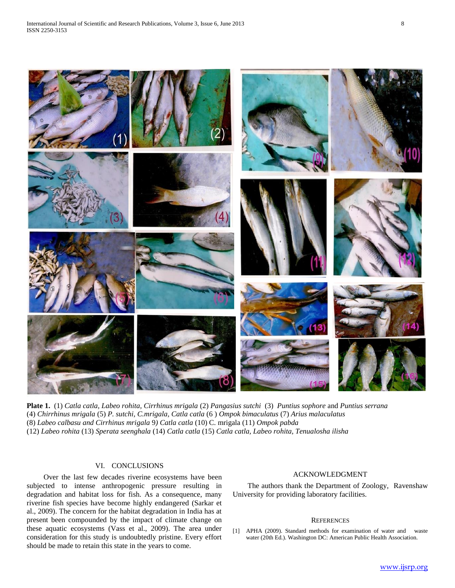

**Plate 1.** (1) *Catla catla, Labeo rohita, Cirrhinus mrigala* (2) *Pangasius sutchi* (3) *Puntius sophore* and *Puntius serrana*  (4) *Chirrhinus mrigala* (5) *P. sutchi, C.mrigala, Catla catla* (6 ) *Ompok bimaculatus* (7) *Arius malaculatus*  (8) *Labeo calbasu and Cirrhinus mrigala* 9*) Catla catla* (10) C. mrigala (11) *Ompok pabda* (12) *Labeo rohita* (13) *Sperata seenghala* (14) *Catla catla* (15) *Catla catla, Labeo rohita, Tenualosha ilisha* 

# VI. CONCLUSIONS

 Over the last few decades riverine ecosystems have been subjected to intense anthropogenic pressure resulting in degradation and habitat loss for fish. As a consequence, many riverine fish species have become highly endangered (Sarkar et al., 2009). The concern for the habitat degradation in India has at present been compounded by the impact of climate change on these aquatic ecosystems (Vass et al., 2009). The area under consideration for this study is undoubtedly pristine. Every effort should be made to retain this state in the years to come.

### ACKNOWLEDGMENT

 The authors thank the Department of Zoology, Ravenshaw University for providing laboratory facilities.

#### **REFERENCES**

[1] APHA (2009). Standard methods for examination of water and waste water (20th Ed.). Washington DC: American Public Health Association.